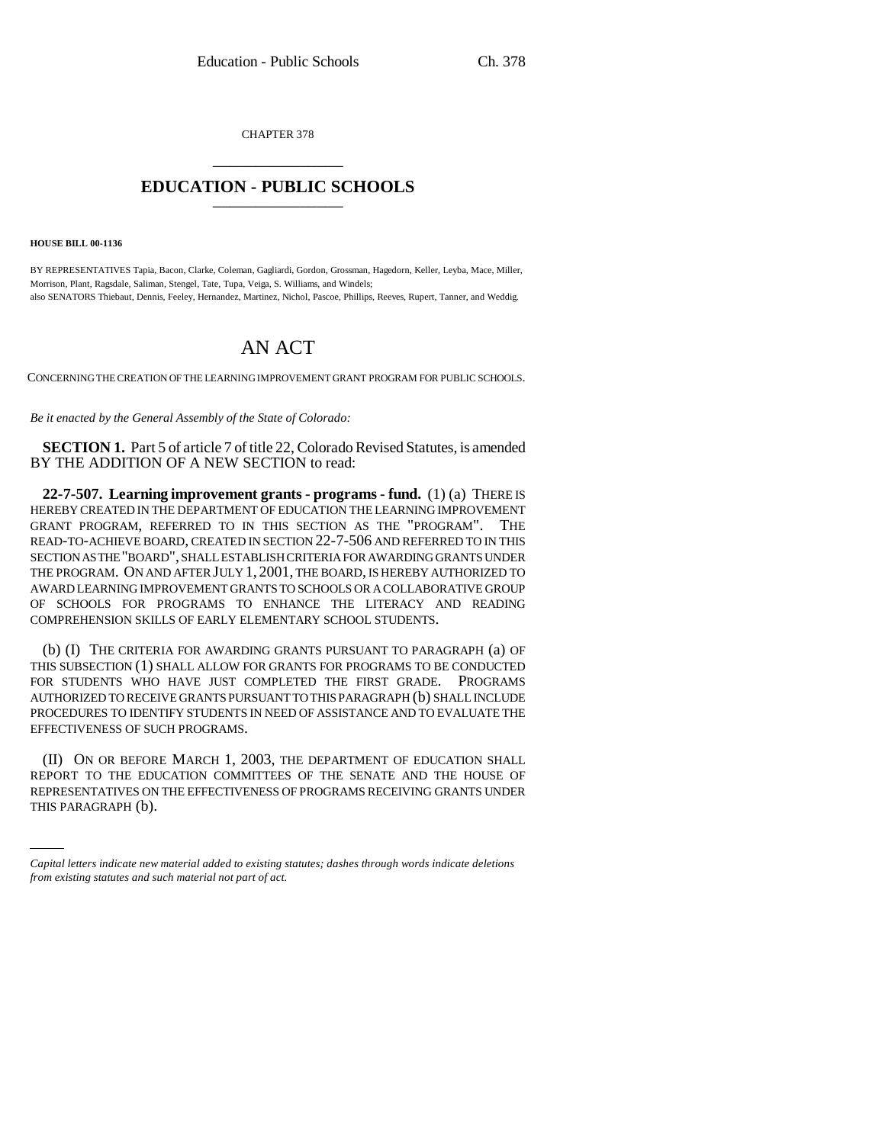CHAPTER 378 \_\_\_\_\_\_\_\_\_\_\_\_\_\_\_

## **EDUCATION - PUBLIC SCHOOLS** \_\_\_\_\_\_\_\_\_\_\_\_\_\_\_

**HOUSE BILL 00-1136** 

BY REPRESENTATIVES Tapia, Bacon, Clarke, Coleman, Gagliardi, Gordon, Grossman, Hagedorn, Keller, Leyba, Mace, Miller, Morrison, Plant, Ragsdale, Saliman, Stengel, Tate, Tupa, Veiga, S. Williams, and Windels; also SENATORS Thiebaut, Dennis, Feeley, Hernandez, Martinez, Nichol, Pascoe, Phillips, Reeves, Rupert, Tanner, and Weddig.

## AN ACT

CONCERNING THE CREATION OF THE LEARNING IMPROVEMENT GRANT PROGRAM FOR PUBLIC SCHOOLS.

*Be it enacted by the General Assembly of the State of Colorado:*

**SECTION 1.** Part 5 of article 7 of title 22, Colorado Revised Statutes, is amended BY THE ADDITION OF A NEW SECTION to read:

**22-7-507. Learning improvement grants - programs - fund.** (1) (a) THERE IS HEREBY CREATED IN THE DEPARTMENT OF EDUCATION THE LEARNING IMPROVEMENT GRANT PROGRAM, REFERRED TO IN THIS SECTION AS THE "PROGRAM". THE READ-TO-ACHIEVE BOARD, CREATED IN SECTION 22-7-506 AND REFERRED TO IN THIS SECTION AS THE "BOARD", SHALL ESTABLISH CRITERIA FOR AWARDING GRANTS UNDER THE PROGRAM. ON AND AFTER JULY 1, 2001, THE BOARD, IS HEREBY AUTHORIZED TO AWARD LEARNING IMPROVEMENT GRANTS TO SCHOOLS OR A COLLABORATIVE GROUP OF SCHOOLS FOR PROGRAMS TO ENHANCE THE LITERACY AND READING COMPREHENSION SKILLS OF EARLY ELEMENTARY SCHOOL STUDENTS.

(b) (I) THE CRITERIA FOR AWARDING GRANTS PURSUANT TO PARAGRAPH (a) OF THIS SUBSECTION (1) SHALL ALLOW FOR GRANTS FOR PROGRAMS TO BE CONDUCTED FOR STUDENTS WHO HAVE JUST COMPLETED THE FIRST GRADE. PROGRAMS AUTHORIZED TO RECEIVE GRANTS PURSUANT TO THIS PARAGRAPH (b) SHALL INCLUDE PROCEDURES TO IDENTIFY STUDENTS IN NEED OF ASSISTANCE AND TO EVALUATE THE EFFECTIVENESS OF SUCH PROGRAMS.

REPORT TO THE EDUCATION COMMITTEES OF THE SENATE AND THE HOUSE OF<br>REPRESENTATIVES ON THE EFFECTIVENESS OF PROGRAMS RECEIVING GRANTS UNDER (II) ON OR BEFORE MARCH 1, 2003, THE DEPARTMENT OF EDUCATION SHALL REPORT TO THE EDUCATION COMMITTEES OF THE SENATE AND THE HOUSE OF THIS PARAGRAPH (b).

*Capital letters indicate new material added to existing statutes; dashes through words indicate deletions from existing statutes and such material not part of act.*